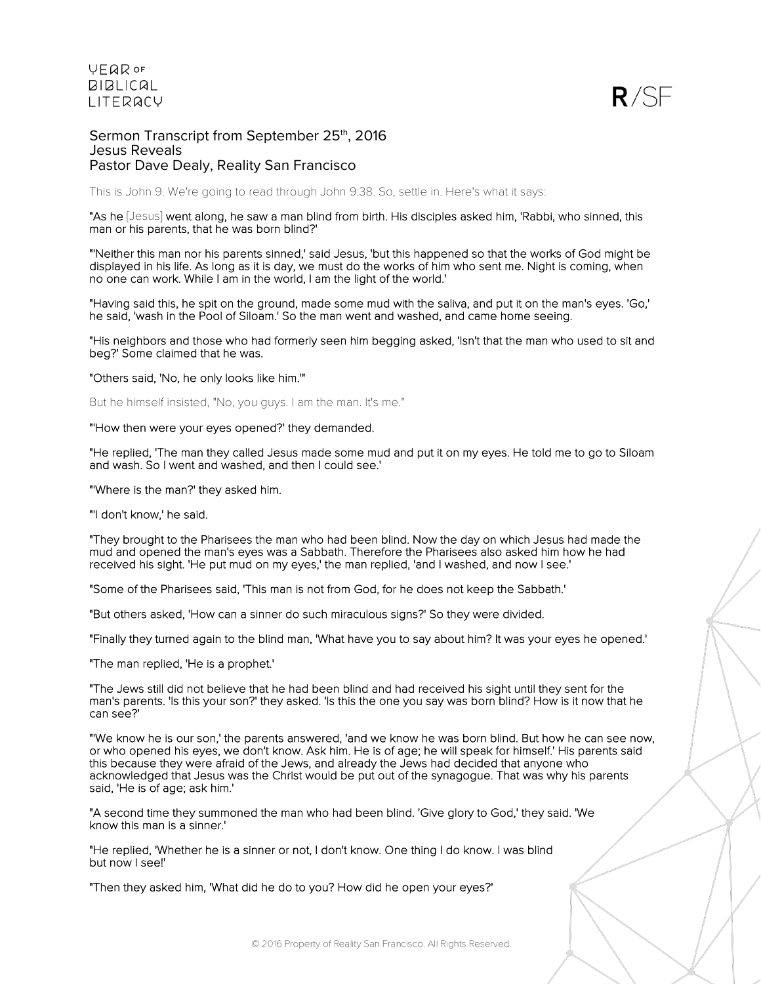

Sermon Transcript from September 25th, 2016 Jesus Reveals Pastor Dave Dealy, Reality San Francisco

This is John 9. We're going to read through John 9:38. So, settle in. Here's what it says:

"As he [Jesus] went along, he saw a man blind from birth. His disciples asked him, 'Rabbi, who sinned, this man or his parents, that he was born blind?'

"'Neither this man nor his parents sinned,' said Jesus, 'but this happened so that the works of God might be displayed in his life. As long as it is day, we must do the works of him who sent me. Night is coming, when no one can work. While I am in the world, I am the light of the world.'

"Having said this, he spit on the ground, made some mud with the saliva, and put it on the man's eyes. 'Go,' he said, 'wash in the Pool of Siloam.' So the man went and washed, and came home seeing.

"His neighbors and those who had formerly seen him begging asked, 'Isn't that the man who used to sit and beg?' Some claimed that he was.

"Others said, 'No, he only looks like him.'"

But he himself insisted, "No, you guys. I am the man. It's me."

"'How then were your eyes opened?' they demanded.

"He replied, 'The man they called Jesus made some mud and put it on my eyes. He told me to go to Siloam and wash. So I went and washed, and then I could see.'

"'Where is the man?' they asked him.

"'I don't know,' he said.

"They brought to the Pharisees the man who had been blind. Now the day on which Jesus had made the mud and opened the man's eyes was a Sabbath. Therefore the Pharisees also asked him how he had received his sight. 'He put mud on my eyes,' the man replied, 'and I washed, and now I see.'

"Some of the Pharisees said, 'This man is not from God, for he does not keep the Sabbath.'

"But others asked, 'How can a sinner do such miraculous signs?' So they were divided.

"Finally they turned again to the blind man, 'What have you to say about him? It was your eyes he opened.'

"The man replied, 'He is a prophet.'

"The Jews still did not believe that he had been blind and had received his sight until they sent for the man's parents. 'Is this your son?' they asked. 'Is this the one you say was born blind? How is it now that he can see?'

"'We know he is our son,' the parents answered, 'and we know he was born blind. But how he can see now, or who opened his eyes, we don't know. Ask him. He is of age; he will speak for himself.' His parents said this because they were afraid of the Jews, and already the Jews had decided that anyone who acknowledged that Jesus was the Christ would be put out of the synagogue. That was why his parents said, 'He is of age; ask him.'

"A second time they summoned the man who had been blind. 'Give glory to God,' they said. 'We know this man is a sinner.'

"He replied, 'Whether he is a sinner or not, I don't know. One thing I do know. I was blind but now I see!'

"Then they asked him, 'What did he do to you? How did he open your eyes?'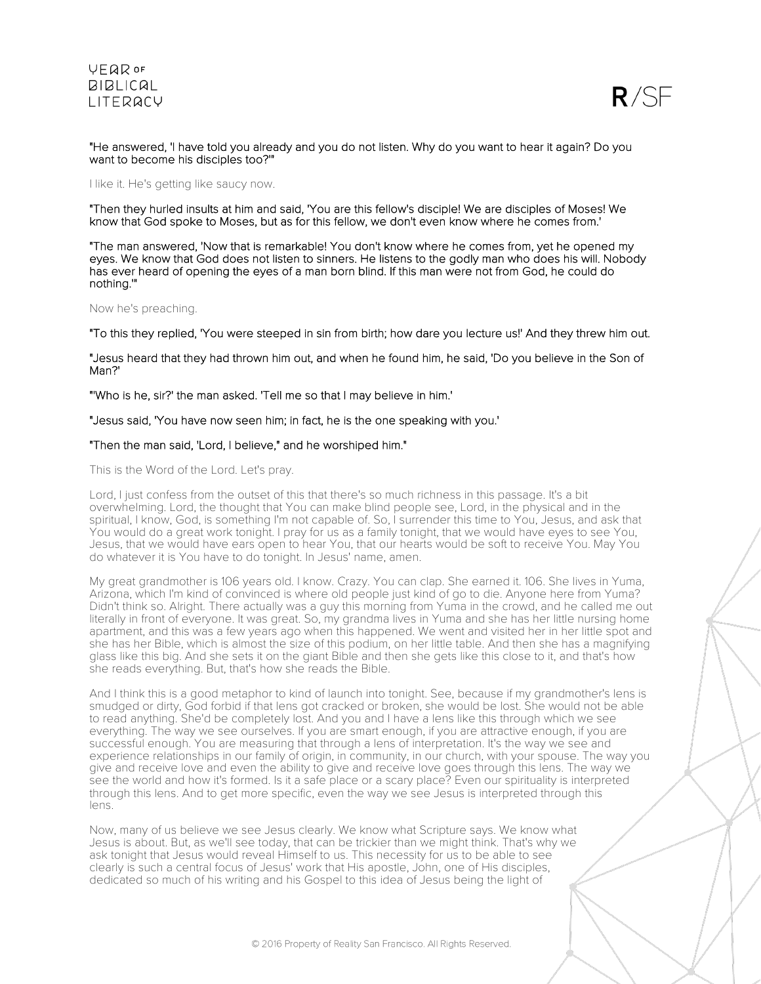

"He answered, 'I have told you already and you do not listen. Why do you want to hear it again? Do you want to become his disciples too?'"

I like it. He's getting like saucy now.

"Then they hurled insults at him and said, 'You are this fellow's disciple! We are disciples of Moses! We know that God spoke to Moses, but as for this fellow, we don't even know where he comes from.'

"The man answered, 'Now that is remarkable! You don't know where he comes from, yet he opened my eyes. We know that God does not listen to sinners. He listens to the godly man who does his will. Nobody has ever heard of opening the eyes of a man born blind. If this man were not from God, he could do nothing.'"

### Now he's preaching.

"To this they replied, 'You were steeped in sin from birth; how dare you lecture us!' And they threw him out.

"Jesus heard that they had thrown him out, and when he found him, he said, 'Do you believe in the Son of Man?'

"'Who is he, sir?' the man asked. 'Tell me so that I may believe in him.'

"Jesus said, 'You have now seen him; in fact, he is the one speaking with you.'

### "Then the man said, 'Lord, I believe," and he worshiped him."

This is the Word of the Lord. Let's pray.

Lord, I just confess from the outset of this that there's so much richness in this passage. It's a bit overwhelming. Lord, the thought that You can make blind people see, Lord, in the physical and in the spiritual, I know, God, is something I'm not capable of. So, I surrender this time to You, Jesus, and ask that You would do a great work tonight. I pray for us as a family tonight, that we would have eyes to see You, Jesus, that we would have ears open to hear You, that our hearts would be soft to receive You. May You do whatever it is You have to do tonight. In Jesus' name, amen.

My great grandmother is 106 years old. I know. Crazy. You can clap. She earned it. 106. She lives in Yuma, Arizona, which I'm kind of convinced is where old people just kind of go to die. Anyone here from Yuma? Didn't think so. Alright. There actually was a guy this morning from Yuma in the crowd, and he called me out literally in front of everyone. It was great. So, my grandma lives in Yuma and she has her little nursing home apartment, and this was a few years ago when this happened. We went and visited her in her little spot and she has her Bible, which is almost the size of this podium, on her little table. And then she has a magnifying glass like this big. And she sets it on the giant Bible and then she gets like this close to it, and that's how she reads everything. But, that's how she reads the Bible.

And I think this is a good metaphor to kind of launch into tonight. See, because if my grandmother's lens is smudged or dirty, God forbid if that lens got cracked or broken, she would be lost. She would not be able to read anything. She'd be completely lost. And you and I have a lens like this through which we see everything. The way we see ourselves. If you are smart enough, if you are attractive enough, if you are successful enough. You are measuring that through a lens of interpretation. It's the way we see and experience relationships in our family of origin, in community, in our church, with your spouse. The way you give and receive love and even the ability to give and receive love goes through this lens. The way we see the world and how it's formed. Is it a safe place or a scary place? Even our spirituality is interpreted through this lens. And to get more specific, even the way we see Jesus is interpreted through this lens.

Now, many of us believe we see Jesus clearly. We know what Scripture says. We know what Jesus is about. But, as we'll see today, that can be trickier than we might think. That's why we ask tonight that Jesus would reveal Himself to us. This necessity for us to be able to see clearly is such a central focus of Jesus' work that His apostle, John, one of His disciples, dedicated so much of his writing and his Gospel to this idea of Jesus being the light of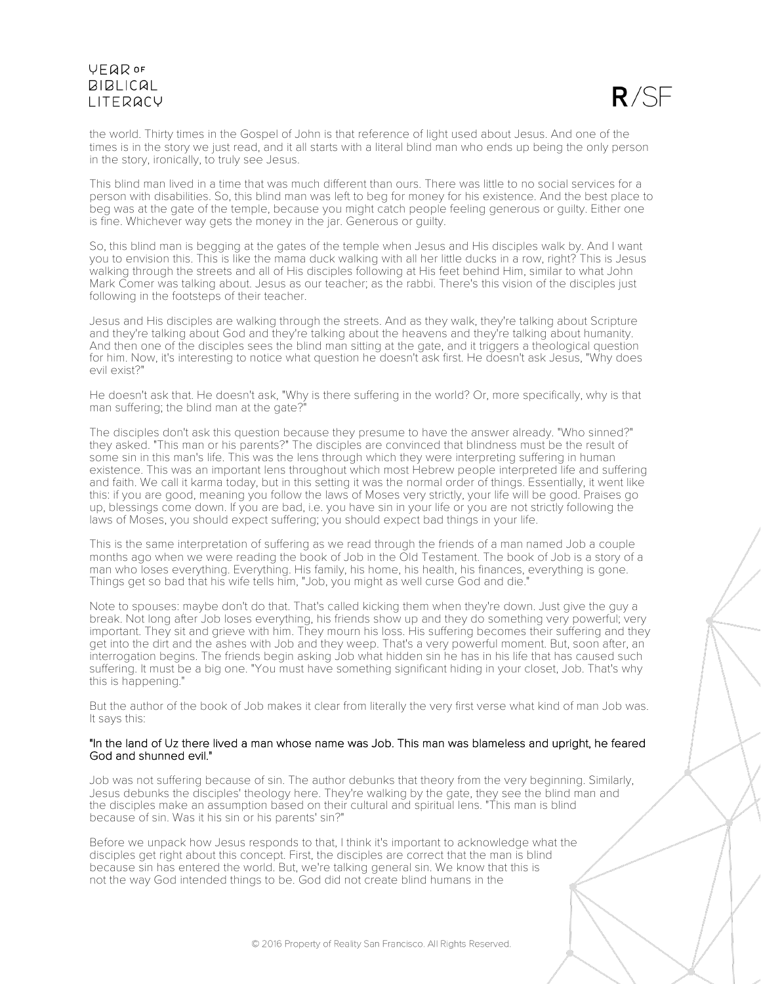$R/SF$ 

the world. Thirty times in the Gospel of John is that reference of light used about Jesus. And one of the times is in the story we just read, and it all starts with a literal blind man who ends up being the only person in the story, ironically, to truly see Jesus.

This blind man lived in a time that was much different than ours. There was little to no social services for a person with disabilities. So, this blind man was left to beg for money for his existence. And the best place to beg was at the gate of the temple, because you might catch people feeling generous or guilty. Either one is fine. Whichever way gets the money in the jar. Generous or guilty.

So, this blind man is begging at the gates of the temple when Jesus and His disciples walk by. And I want you to envision this. This is like the mama duck walking with all her little ducks in a row, right? This is Jesus walking through the streets and all of His disciples following at His feet behind Him, similar to what John Mark Comer was talking about. Jesus as our teacher; as the rabbi. There's this vision of the disciples just following in the footsteps of their teacher.

Jesus and His disciples are walking through the streets. And as they walk, they're talking about Scripture and they're talking about God and they're talking about the heavens and they're talking about humanity. And then one of the disciples sees the blind man sitting at the gate, and it triggers a theological question for him. Now, it's interesting to notice what question he doesn't ask first. He doesn't ask Jesus, "Why does evil exist?"

He doesn't ask that. He doesn't ask, "Why is there suffering in the world? Or, more specifically, why is that man suffering; the blind man at the gate?"

The disciples don't ask this question because they presume to have the answer already. "Who sinned?" they asked. "This man or his parents?" The disciples are convinced that blindness must be the result of some sin in this man's life. This was the lens through which they were interpreting suffering in human existence. This was an important lens throughout which most Hebrew people interpreted life and suffering and faith. We call it karma today, but in this setting it was the normal order of things. Essentially, it went like this: if you are good, meaning you follow the laws of Moses very strictly, your life will be good. Praises go up, blessings come down. If you are bad, i.e. you have sin in your life or you are not strictly following the laws of Moses, you should expect suffering; you should expect bad things in your life.

This is the same interpretation of suffering as we read through the friends of a man named Job a couple months ago when we were reading the book of Job in the Old Testament. The book of Job is a story of a man who loses everything. Everything. His family, his home, his health, his finances, everything is gone. Things get so bad that his wife tells him, "Job, you might as well curse God and die."

Note to spouses: maybe don't do that. That's called kicking them when they're down. Just give the guy a break. Not long after Job loses everything, his friends show up and they do something very powerful; very important. They sit and grieve with him. They mourn his loss. His suffering becomes their suffering and they get into the dirt and the ashes with Job and they weep. That's a very powerful moment. But, soon after, an interrogation begins. The friends begin asking Job what hidden sin he has in his life that has caused such suffering. It must be a big one. "You must have something significant hiding in your closet, Job. That's why this is happening."

But the author of the book of Job makes it clear from literally the very first verse what kind of man Job was. It says this:

#### "In the land of Uz there lived a man whose name was Job. This man was blameless and upright, he feared God and shunned evil."

Job was not suffering because of sin. The author debunks that theory from the very beginning. Similarly, Jesus debunks the disciples' theology here. They're walking by the gate, they see the blind man and the disciples make an assumption based on their cultural and spiritual lens. "This man is blind because of sin. Was it his sin or his parents' sin?"

Before we unpack how Jesus responds to that, I think it's important to acknowledge what the disciples get right about this concept. First, the disciples are correct that the man is blind because sin has entered the world. But, we're talking general sin. We know that this is not the way God intended things to be. God did not create blind humans in the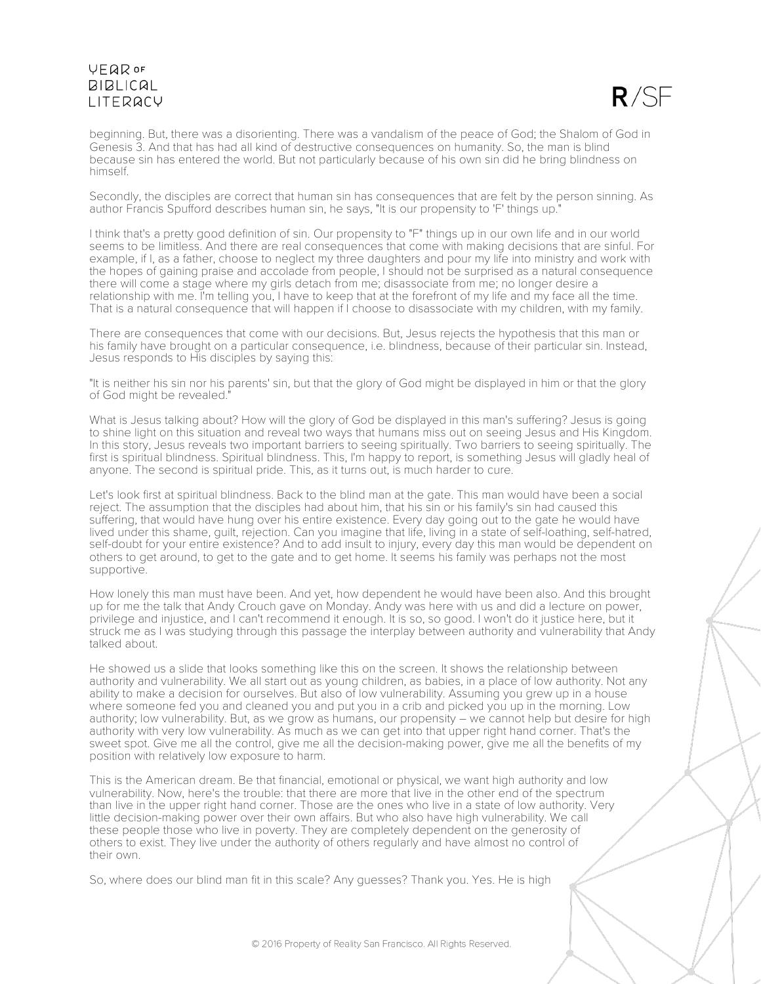

beginning. But, there was a disorienting. There was a vandalism of the peace of God; the Shalom of God in Genesis 3. And that has had all kind of destructive consequences on humanity. So, the man is blind because sin has entered the world. But not particularly because of his own sin did he bring blindness on himself.

Secondly, the disciples are correct that human sin has consequences that are felt by the person sinning. As author Francis Spufford describes human sin, he says, "It is our propensity to 'F' things up."

I think that's a pretty good definition of sin. Our propensity to "F" things up in our own life and in our world seems to be limitless. And there are real consequences that come with making decisions that are sinful. For example, if I, as a father, choose to neglect my three daughters and pour my life into ministry and work with the hopes of gaining praise and accolade from people, I should not be surprised as a natural consequence there will come a stage where my girls detach from me; disassociate from me; no longer desire a relationship with me. I'm telling you, I have to keep that at the forefront of my life and my face all the time. That is a natural consequence that will happen if I choose to disassociate with my children, with my family.

There are consequences that come with our decisions. But, Jesus rejects the hypothesis that this man or his family have brought on a particular consequence, i.e. blindness, because of their particular sin. Instead, Jesus responds to His disciples by saying this:

"It is neither his sin nor his parents' sin, but that the glory of God might be displayed in him or that the glory of God might be revealed."

What is Jesus talking about? How will the glory of God be displayed in this man's suffering? Jesus is going to shine light on this situation and reveal two ways that humans miss out on seeing Jesus and His Kingdom. In this story, Jesus reveals two important barriers to seeing spiritually. Two barriers to seeing spiritually. The first is spiritual blindness. Spiritual blindness. This, I'm happy to report, is something Jesus will gladly heal of anyone. The second is spiritual pride. This, as it turns out, is much harder to cure.

Let's look first at spiritual blindness. Back to the blind man at the gate. This man would have been a social reject. The assumption that the disciples had about him, that his sin or his family's sin had caused this suffering, that would have hung over his entire existence. Every day going out to the gate he would have lived under this shame, guilt, rejection. Can you imagine that life, living in a state of self-loathing, self-hatred, self-doubt for your entire existence? And to add insult to injury, every day this man would be dependent on others to get around, to get to the gate and to get home. It seems his family was perhaps not the most supportive.

How lonely this man must have been. And yet, how dependent he would have been also. And this brought up for me the talk that Andy Crouch gave on Monday. Andy was here with us and did a lecture on power, privilege and injustice, and I can't recommend it enough. It is so, so good. I won't do it justice here, but it struck me as I was studying through this passage the interplay between authority and vulnerability that Andy talked about.

He showed us a slide that looks something like this on the screen. It shows the relationship between authority and vulnerability. We all start out as young children, as babies, in a place of low authority. Not any ability to make a decision for ourselves. But also of low vulnerability. Assuming you grew up in a house where someone fed you and cleaned you and put you in a crib and picked you up in the morning. Low authority; low vulnerability. But, as we grow as humans, our propensity – we cannot help but desire for high authority with very low vulnerability. As much as we can get into that upper right hand corner. That's the sweet spot. Give me all the control, give me all the decision-making power, give me all the benefits of my position with relatively low exposure to harm.

This is the American dream. Be that financial, emotional or physical, we want high authority and low vulnerability. Now, here's the trouble: that there are more that live in the other end of the spectrum than live in the upper right hand corner. Those are the ones who live in a state of low authority. Very little decision-making power over their own affairs. But who also have high vulnerability. We call these people those who live in poverty. They are completely dependent on the generosity of others to exist. They live under the authority of others regularly and have almost no control of their own.

So, where does our blind man fit in this scale? Any guesses? Thank you. Yes. He is high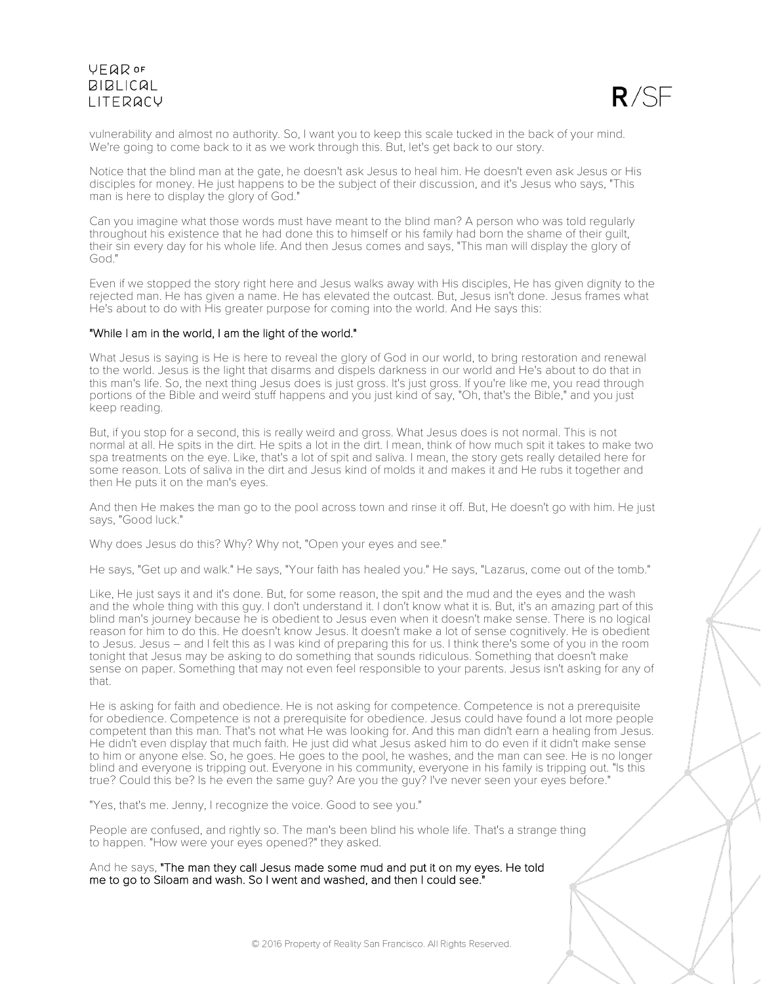

vulnerability and almost no authority. So, I want you to keep this scale tucked in the back of your mind. We're going to come back to it as we work through this. But, let's get back to our story.

Notice that the blind man at the gate, he doesn't ask Jesus to heal him. He doesn't even ask Jesus or His disciples for money. He just happens to be the subject of their discussion, and it's Jesus who says, "This man is here to display the glory of God."

Can you imagine what those words must have meant to the blind man? A person who was told regularly throughout his existence that he had done this to himself or his family had born the shame of their guilt, their sin every day for his whole life. And then Jesus comes and says, "This man will display the glory of God."

Even if we stopped the story right here and Jesus walks away with His disciples, He has given dignity to the rejected man. He has given a name. He has elevated the outcast. But, Jesus isn't done. Jesus frames what He's about to do with His greater purpose for coming into the world. And He says this:

### "While I am in the world, I am the light of the world."

What Jesus is saying is He is here to reveal the glory of God in our world, to bring restoration and renewal to the world. Jesus is the light that disarms and dispels darkness in our world and He's about to do that in this man's life. So, the next thing Jesus does is just gross. It's just gross. If you're like me, you read through portions of the Bible and weird stuff happens and you just kind of say, "Oh, that's the Bible," and you just keep reading.

But, if you stop for a second, this is really weird and gross. What Jesus does is not normal. This is not normal at all. He spits in the dirt. He spits a lot in the dirt. I mean, think of how much spit it takes to make two spa treatments on the eye. Like, that's a lot of spit and saliva. I mean, the story gets really detailed here for some reason. Lots of saliva in the dirt and Jesus kind of molds it and makes it and He rubs it together and then He puts it on the man's eyes.

And then He makes the man go to the pool across town and rinse it off. But, He doesn't go with him. He just says, "Good luck."

Why does Jesus do this? Why? Why not, "Open your eyes and see."

He says, "Get up and walk." He says, "Your faith has healed you." He says, "Lazarus, come out of the tomb."

Like, He just says it and it's done. But, for some reason, the spit and the mud and the eyes and the wash and the whole thing with this guy. I don't understand it. I don't know what it is. But, it's an amazing part of this blind man's journey because he is obedient to Jesus even when it doesn't make sense. There is no logical reason for him to do this. He doesn't know Jesus. It doesn't make a lot of sense cognitively. He is obedient to Jesus. Jesus – and I felt this as I was kind of preparing this for us. I think there's some of you in the room tonight that Jesus may be asking to do something that sounds ridiculous. Something that doesn't make sense on paper. Something that may not even feel responsible to your parents. Jesus isn't asking for any of that.

He is asking for faith and obedience. He is not asking for competence. Competence is not a prerequisite for obedience. Competence is not a prerequisite for obedience. Jesus could have found a lot more people competent than this man. That's not what He was looking for. And this man didn't earn a healing from Jesus. He didn't even display that much faith. He just did what Jesus asked him to do even if it didn't make sense to him or anyone else. So, he goes. He goes to the pool, he washes, and the man can see. He is no longer blind and everyone is tripping out. Everyone in his community, everyone in his family is tripping out. "Is this true? Could this be? Is he even the same guy? Are you the guy? I've never seen your eyes before."

"Yes, that's me. Jenny, I recognize the voice. Good to see you."

People are confused, and rightly so. The man's been blind his whole life. That's a strange thing to happen. "How were your eyes opened?" they asked.

And he says, "The man they call Jesus made some mud and put it on my eyes. He told me to go to Siloam and wash. So I went and washed, and then I could see."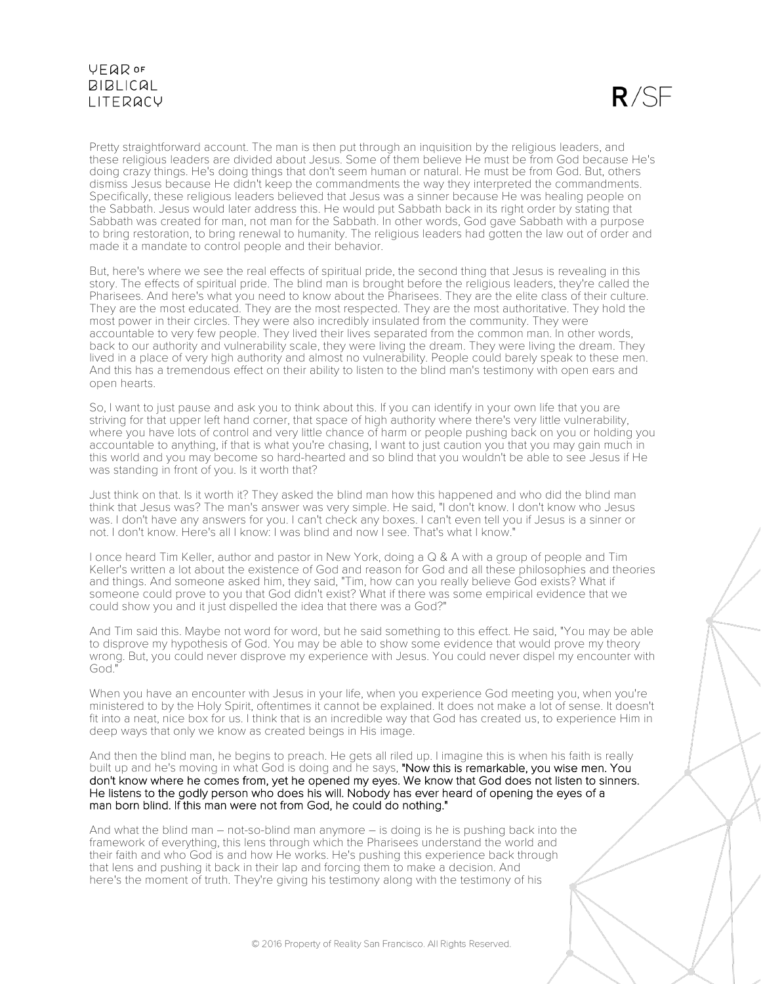$R/SF$ 

Pretty straightforward account. The man is then put through an inquisition by the religious leaders, and these religious leaders are divided about Jesus. Some of them believe He must be from God because He's doing crazy things. He's doing things that don't seem human or natural. He must be from God. But, others dismiss Jesus because He didn't keep the commandments the way they interpreted the commandments. Specifically, these religious leaders believed that Jesus was a sinner because He was healing people on the Sabbath. Jesus would later address this. He would put Sabbath back in its right order by stating that Sabbath was created for man, not man for the Sabbath. In other words, God gave Sabbath with a purpose to bring restoration, to bring renewal to humanity. The religious leaders had gotten the law out of order and made it a mandate to control people and their behavior.

But, here's where we see the real effects of spiritual pride, the second thing that Jesus is revealing in this story. The effects of spiritual pride. The blind man is brought before the religious leaders, they're called the Pharisees. And here's what you need to know about the Pharisees. They are the elite class of their culture. They are the most educated. They are the most respected. They are the most authoritative. They hold the most power in their circles. They were also incredibly insulated from the community. They were accountable to very few people. They lived their lives separated from the common man. In other words, back to our authority and vulnerability scale, they were living the dream. They were living the dream. They lived in a place of very high authority and almost no vulnerability. People could barely speak to these men. And this has a tremendous effect on their ability to listen to the blind man's testimony with open ears and open hearts.

So, I want to just pause and ask you to think about this. If you can identify in your own life that you are striving for that upper left hand corner, that space of high authority where there's very little vulnerability, where you have lots of control and very little chance of harm or people pushing back on you or holding you accountable to anything, if that is what you're chasing, I want to just caution you that you may gain much in this world and you may become so hard-hearted and so blind that you wouldn't be able to see Jesus if He was standing in front of you. Is it worth that?

Just think on that. Is it worth it? They asked the blind man how this happened and who did the blind man think that Jesus was? The man's answer was very simple. He said, "I don't know. I don't know who Jesus was. I don't have any answers for you. I can't check any boxes. I can't even tell you if Jesus is a sinner or not. I don't know. Here's all I know: I was blind and now I see. That's what I know."

I once heard Tim Keller, author and pastor in New York, doing a Q & A with a group of people and Tim Keller's written a lot about the existence of God and reason for God and all these philosophies and theories and things. And someone asked him, they said, "Tim, how can you really believe God exists? What if someone could prove to you that God didn't exist? What if there was some empirical evidence that we could show you and it just dispelled the idea that there was a God?"

And Tim said this. Maybe not word for word, but he said something to this effect. He said, "You may be able to disprove my hypothesis of God. You may be able to show some evidence that would prove my theory wrong. But, you could never disprove my experience with Jesus. You could never dispel my encounter with God."

When you have an encounter with Jesus in your life, when you experience God meeting you, when you're ministered to by the Holy Spirit, oftentimes it cannot be explained. It does not make a lot of sense. It doesn't fit into a neat, nice box for us. I think that is an incredible way that God has created us, to experience Him in deep ways that only we know as created beings in His image.

And then the blind man, he begins to preach. He gets all riled up. I imagine this is when his faith is really built up and he's moving in what God is doing and he says, "Now this is remarkable, you wise men. You don't know where he comes from, yet he opened my eyes. We know that God does not listen to sinners. He listens to the godly person who does his will. Nobody has ever heard of opening the eyes of a man born blind. If this man were not from God, he could do nothing."

And what the blind man – not-so-blind man anymore – is doing is he is pushing back into the framework of everything, this lens through which the Pharisees understand the world and their faith and who God is and how He works. He's pushing this experience back through that lens and pushing it back in their lap and forcing them to make a decision. And here's the moment of truth. They're giving his testimony along with the testimony of his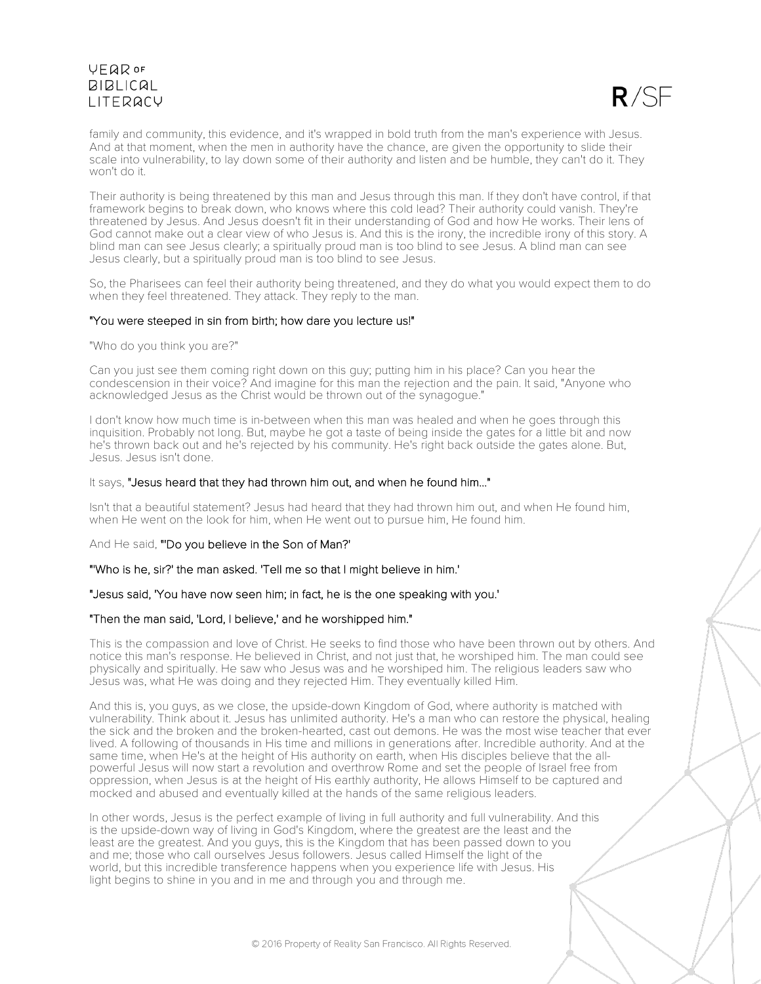

family and community, this evidence, and it's wrapped in bold truth from the man's experience with Jesus. And at that moment, when the men in authority have the chance, are given the opportunity to slide their scale into vulnerability, to lay down some of their authority and listen and be humble, they can't do it. They won't do it.

Their authority is being threatened by this man and Jesus through this man. If they don't have control, if that framework begins to break down, who knows where this cold lead? Their authority could vanish. They're threatened by Jesus. And Jesus doesn't fit in their understanding of God and how He works. Their lens of God cannot make out a clear view of who Jesus is. And this is the irony, the incredible irony of this story. A blind man can see Jesus clearly; a spiritually proud man is too blind to see Jesus. A blind man can see Jesus clearly, but a spiritually proud man is too blind to see Jesus.

So, the Pharisees can feel their authority being threatened, and they do what you would expect them to do when they feel threatened. They attack. They reply to the man.

### "You were steeped in sin from birth; how dare you lecture us!"

"Who do you think you are?"

Can you just see them coming right down on this guy; putting him in his place? Can you hear the condescension in their voice? And imagine for this man the rejection and the pain. It said, "Anyone who acknowledged Jesus as the Christ would be thrown out of the synagogue."

I don't know how much time is in-between when this man was healed and when he goes through this inquisition. Probably not long. But, maybe he got a taste of being inside the gates for a little bit and now he's thrown back out and he's rejected by his community. He's right back outside the gates alone. But, Jesus. Jesus isn't done.

#### It says, "Jesus heard that they had thrown him out, and when he found him..."

Isn't that a beautiful statement? Jesus had heard that they had thrown him out, and when He found him, when He went on the look for him, when He went out to pursue him, He found him.

And He said, "'Do you believe in the Son of Man?'

"'Who is he, sir?' the man asked. 'Tell me so that I might believe in him.'

"Jesus said, 'You have now seen him; in fact, he is the one speaking with you.'

### "Then the man said, 'Lord, I believe,' and he worshipped him."

This is the compassion and love of Christ. He seeks to find those who have been thrown out by others. And notice this man's response. He believed in Christ, and not just that, he worshiped him. The man could see physically and spiritually. He saw who Jesus was and he worshiped him. The religious leaders saw who Jesus was, what He was doing and they rejected Him. They eventually killed Him.

And this is, you guys, as we close, the upside-down Kingdom of God, where authority is matched with vulnerability. Think about it. Jesus has unlimited authority. He's a man who can restore the physical, healing the sick and the broken and the broken-hearted, cast out demons. He was the most wise teacher that ever lived. A following of thousands in His time and millions in generations after. Incredible authority. And at the same time, when He's at the height of His authority on earth, when His disciples believe that the allpowerful Jesus will now start a revolution and overthrow Rome and set the people of Israel free from oppression, when Jesus is at the height of His earthly authority, He allows Himself to be captured and mocked and abused and eventually killed at the hands of the same religious leaders.

In other words, Jesus is the perfect example of living in full authority and full vulnerability. And this is the upside-down way of living in God's Kingdom, where the greatest are the least and the least are the greatest. And you guys, this is the Kingdom that has been passed down to you and me; those who call ourselves Jesus followers. Jesus called Himself the light of the world, but this incredible transference happens when you experience life with Jesus. His light begins to shine in you and in me and through you and through me.